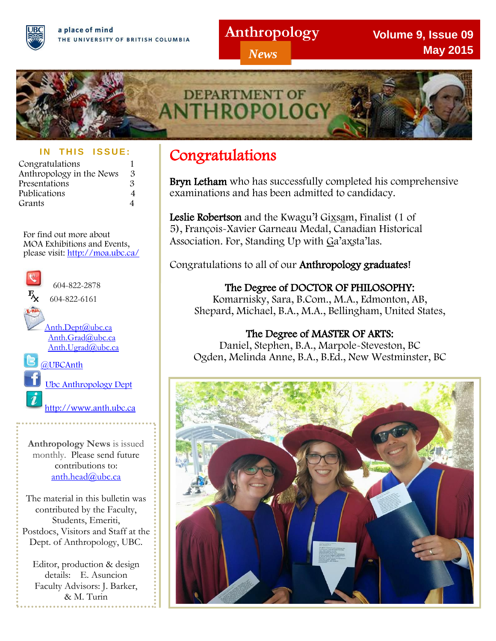## **Anthropology**

*News*

**Volume 9, Issue 09 May 2015**



## **IN THIS ISSUE:**

| Congratulations          |                |
|--------------------------|----------------|
| Anthropology in the News | З              |
| Presentations            | З              |
| Publications             | 4              |
| Grants                   | $\overline{4}$ |

For find out more about MOA Exhibitions and Events, please visit:<http://moa.ubc.ca/>



**Anthropology News** is issued monthly. Please send future contributions to: anth.head@ubc.ca

The material in this bulletin was contributed by the Faculty, Students, Emeriti, Postdocs, Visitors and Staff at the Dept. of Anthropology, UBC.

Editor, production & design details: E. Asuncion Faculty Advisors: J. Barker, & M. Turin

# Congratulations

Bryn Letham who has successfully completed his comprehensive examinations and has been admitted to candidacy.

Leslie Robertson and the Kwagu'ł Gixsam, Finalist (1 of 5), François-Xavier Garneau Medal, Canadian Historical Association. For, Standing Up with Ga'axsta'las.

Congratulations to all of our Anthropology graduates!

The Degree of DOCTOR OF PHILOSOPHY: Komarnisky, Sara, B.Com., M.A., Edmonton, AB, Shepard, Michael, B.A., M.A., Bellingham, United States,

The Degree of MASTER OF ARTS: Daniel, Stephen, B.A., Marpole-Steveston, BC Ogden, Melinda Anne, B.A., B.Ed., New Westminster, BC

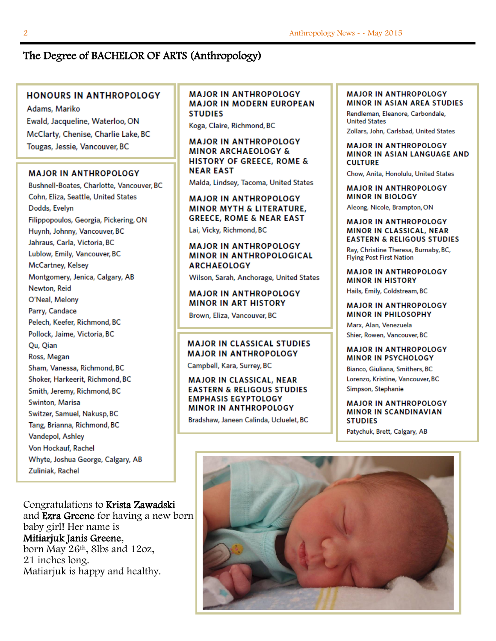## The Degree of BACHELOR OF ARTS (Anthropology)

### **HONOURS IN ANTHROPOLOGY**

Adams, Mariko Ewald, Jacqueline, Waterloo, ON McClarty, Chenise, Charlie Lake, BC Tougas, Jessie, Vancouver, BC

### **MAJOR IN ANTHROPOLOGY**

Bushnell-Boates, Charlotte, Vancouver, BC Cohn, Eliza, Seattle, United States Dodds, Evelyn Filippopoulos, Georgia, Pickering, ON Huynh, Johnny, Vancouver, BC Jahraus, Carla, Victoria, BC Lublow, Emily, Vancouver, BC McCartney, Kelsey Montgomery, Jenica, Calgary, AB Newton, Reid O'Neal, Melony Parry, Candace Pelech, Keefer, Richmond, BC Pollock, Jaime, Victoria, BC Qu, Qian Ross, Megan Sham, Vanessa, Richmond, BC Shoker, Harkeerit, Richmond, BC Smith, Jeremy, Richmond, BC Swinton, Marisa Switzer, Samuel, Nakusp, BC Tang, Brianna, Richmond, BC Vandepol, Ashley Von Hockauf, Rachel Whyte, Joshua George, Calgary, AB Zuliniak, Rachel

Congratulations to Krista Zawadski and Ezra Greene for having a new born baby girl! Her name is Mitiarjuk Janis Greene, born May 26th, 8lbs and 12oz, 21 inches long. Matiarjuk is happy and healthy.

### **MAJOR IN ANTHROPOLOGY MAJOR IN MODERN EUROPEAN STUDIES**

Koga, Claire, Richmond, BC

**MAJOR IN ANTHROPOLOGY MINOR ARCHAEOLOGY & HISTORY OF GREECE, ROME & NEAR EAST** 

Malda, Lindsey, Tacoma, United States

### **MAJOR IN ANTHROPOLOGY MINOR MYTH & LITERATURE, GREECE, ROME & NEAR EAST**

Lai, Vicky, Richmond, BC

### **MAJOR IN ANTHROPOLOGY MINOR IN ANTHROPOLOGICAL ARCHAEOLOGY**

Wilson, Sarah, Anchorage, United States

## **MAJOR IN ANTHROPOLOGY MINOR IN ART HISTORY**

Brown, Eliza, Vancouver, BC

### **MAJOR IN CLASSICAL STUDIES MAJOR IN ANTHROPOLOGY**

Campbell, Kara, Surrey, BC

### **MAJOR IN CLASSICAL, NEAR EASTERN & RELIGOUS STUDIES EMPHASIS EGYPTOLOGY MINOR IN ANTHROPOLOGY**

Bradshaw, Janeen Calinda, Ucluelet, BC

#### **MAJOR IN ANTHROPOLOGY MINOR IN ASIAN AREA STUDIES**

Rendleman, Eleanore, Carbondale, **United States** Zollars, John, Carlsbad, United States

#### **MAJOR IN ANTHROPOLOGY MINOR IN ASIAN LANGUAGE AND CULTURE**

Chow, Anita, Honolulu, United States

**MAJOR IN ANTHROPOLOGY MINOR IN BIOLOGY** 

Aleong, Nicole, Brampton, ON

### **MAJOR IN ANTHROPOLOGY MINOR IN CLASSICAL, NEAR EASTERN & RELIGOUS STUDIES**

Ray, Christine Theresa, Burnaby, BC, **Flying Post First Nation** 

#### **MAJOR IN ANTHROPOLOGY MINOR IN HISTORY**

Hails, Emily, Coldstream, BC

### **MAJOR IN ANTHROPOLOGY MINOR IN PHILOSOPHY**

Marx, Alan, Venezuela Shier, Rowen, Vancouver, BC

### **MAJOR IN ANTHROPOLOGY MINOR IN PSYCHOLOGY**

Bianco, Giuliana, Smithers, BC Lorenzo, Kristine, Vancouver, BC Simpson, Stephanie

### **MAJOR IN ANTHROPOLOGY MINOR IN SCANDINAVIAN STUDIES**

Patychuk, Brett, Calgary, AB

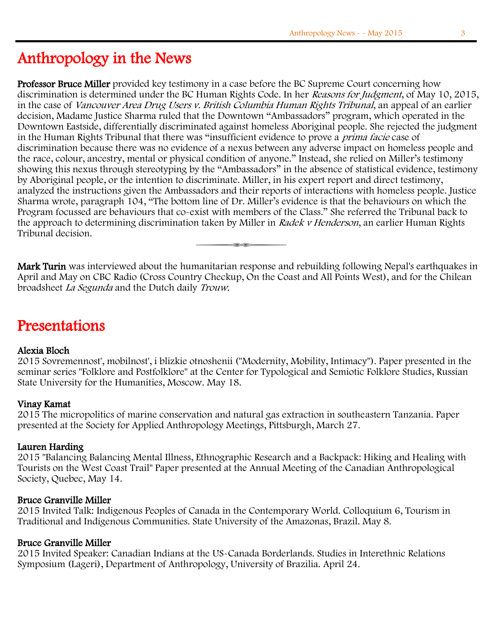## Anthropology in the News

Professor Bruce Miller provided key testimony in a case before the BC Supreme Court concerning how discrimination is determined under the BC Human Rights Code. In her Reasons for Judgment, of May 10, 2015, in the case of Vancouver Area Drug Users v. British Columbia Human Rights Tribunal, an appeal of an earlier decision, Madame Justice Sharma ruled that the Downtown "Ambassadors" program, which operated in the Downtown Eastside, differentially discriminated against homeless Aboriginal people. She rejected the judgment in the Human Rights Tribunal that there was "insufficient evidence to prove a prima facie case of discrimination because there was no evidence of a nexus between any adverse impact on homeless people and the race, colour, ancestry, mental or physical condition of anyone." Instead, she relied on Miller's testimony showing this nexus through stereotyping by the "Ambassadors" in the absence of statistical evidence, testimony by Aboriginal people, or the intention to discriminate. Miller, in his expert report and direct testimony, analyzed the instructions given the Ambassadors and their reports of interactions with homeless people. Justice Sharma wrote, paragraph 104, "The bottom line of Dr. Miller's evidence is that the behaviours on which the Program focussed are behaviours that co-exist with members of the Class." She referred the Tribunal back to the approach to determining discrimination taken by Miller in Radek v Henderson, an earlier Human Rights Tribunal decision.

Ξ

Mark Turin was interviewed about the humanitarian response and rebuilding following Nepal's earthquakes in April and May on CBC Radio (Cross Country Checkup, On the Coast and All Points West), and for the Chilean broadsheet La Segunda and the Dutch daily Trouw.

## Presentations

## Alexia Bloch

2015 Sovremennost', mobilnost', i blizkie otnoshenii ("Modernity, Mobility, Intimacy"). Paper presented in the seminar series "Folklore and Postfolklore" at the Center for Typological and Semiotic Folklore Studies, Russian State University for the Humanities, Moscow. May 18.

## Vinay Kamat

2015 The micropolitics of marine conservation and natural gas extraction in southeastern Tanzania. Paper presented at the Society for Applied Anthropology Meetings, Pittsburgh, March 27.

### Lauren Harding

2015 "Balancing Balancing Mental Illness, Ethnographic Research and a Backpack: Hiking and Healing with Tourists on the West Coast Trail" Paper presented at the Annual Meeting of the Canadian Anthropological Society, Quebec, May 14.

### Bruce Granville Miller

2015 Invited Talk: Indigenous Peoples of Canada in the Contemporary World. Colloquium 6, Tourism in Traditional and Indigenous Communities. State University of the Amazonas, Brazil. May 8.

### Bruce Granville Miller

2015 Invited Speaker: Canadian Indians at the US-Canada Borderlands. Studies in Interethnic Relations Symposium (Lageri), Department of Anthropology, University of Brazilia. April 24.